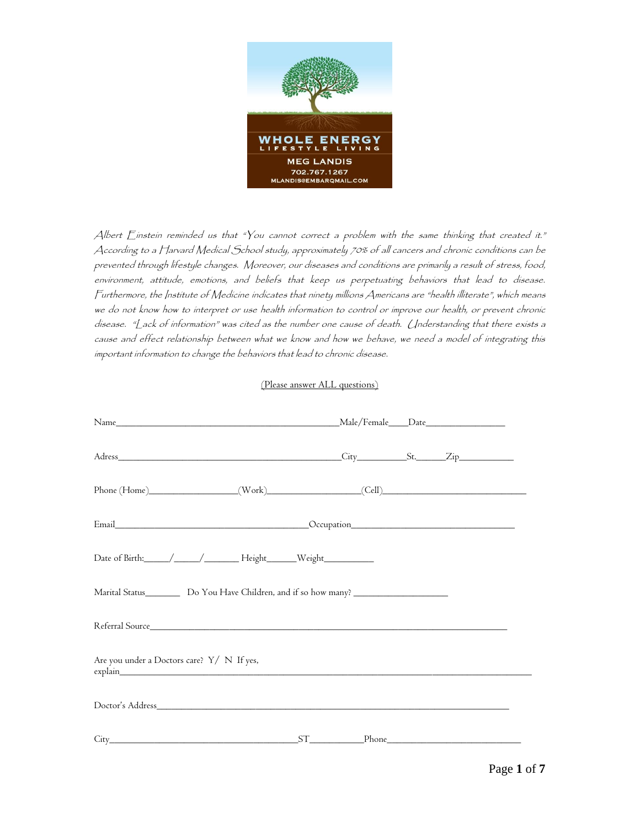

Albert Einstein reminded us that "You cannot correct a problem with the same thinking that created it." According to a Harvard Medical School study, approximately 70% of all cancers and chronic conditions can be prevented through lifestyle changes. Moreover, our diseases and conditions are primarily a result of stress, food, environment, attitude, emotions, and beliefs that keep us perpetuating behaviors that lead to disease. Furthermore, the Institute of Medicine indicates that ninety millions Americans are "health illiterate", which means we do not know how to interpret or use health information to control or improve our health, or prevent chronic disease. "Lack of information" was cited as the number one cause of death. Understanding that there exists a cause and effect relationship between what we know and how we behave, we need a model of integrating this important information to change the behaviors that lead to chronic disease.

## (Please answer ALL questions)

| Phone (Home)__________________(Work)________________(Cell)_______________________                                                                                                                                              |  |  |  |  |  |  |  |
|--------------------------------------------------------------------------------------------------------------------------------------------------------------------------------------------------------------------------------|--|--|--|--|--|--|--|
| Email Cocupation Cocupation Cocupation Cocupation Cocupation Cocupation Cocupation Cocupation Cocupation Cocupation Cocupation Cocupation Cocupation Cocupation Cocupation Cocupation Cocupation Cocupation Cocupation Cocupat |  |  |  |  |  |  |  |
|                                                                                                                                                                                                                                |  |  |  |  |  |  |  |
| Marital Status____________ Do You Have Children, and if so how many? _______________________________                                                                                                                           |  |  |  |  |  |  |  |
| Referral Source                                                                                                                                                                                                                |  |  |  |  |  |  |  |
| Are you under a Doctors care? Y/ N If yes,                                                                                                                                                                                     |  |  |  |  |  |  |  |
|                                                                                                                                                                                                                                |  |  |  |  |  |  |  |
|                                                                                                                                                                                                                                |  |  |  |  |  |  |  |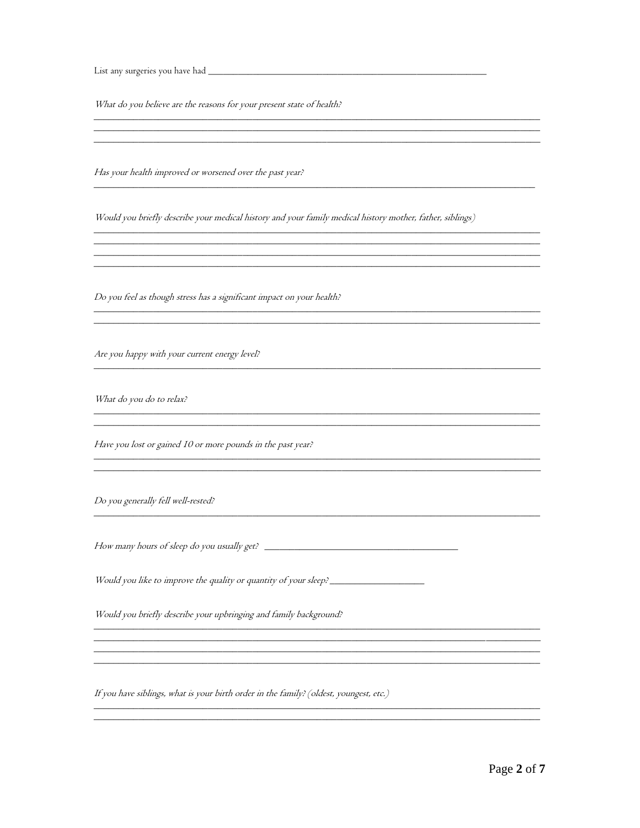What do you believe are the reasons for your present state of health?

Has your health improved or worsened over the past year?

Would you briefly describe your medical history and your family medical history mother, father, siblings)

<u> 1989 - Johann Stoff, deutscher Stoffen und der Stoffen und der Stoffen und der Stoffen und der Stoffen und der</u>

<u> 1989 - Johann Barbara, martxa amerikan bashkan bashkan bashkan bashkan bashkan bashkan bashkan bashkan bashk</u> <u> 1989 - Johann Stoff, deutscher Stoff, der Stoff, der Stoff, der Stoff, der Stoff, der Stoff, der Stoff, der S</u>

Do you feel as though stress has a significant impact on your health?

Are you happy with your current energy level?

What do you do to relax?

Have you lost or gained 10 or more pounds in the past year?

Do you generally fell well-rested?

How many hours of sleep do you usually get?

Would you like to improve the quality or quantity of your sleep? \_\_\_\_\_\_\_\_\_\_\_\_\_\_\_

Would you briefly describe your upbringing and family background?

If you have siblings, what is your birth order in the family? (oldest, youngest, etc.)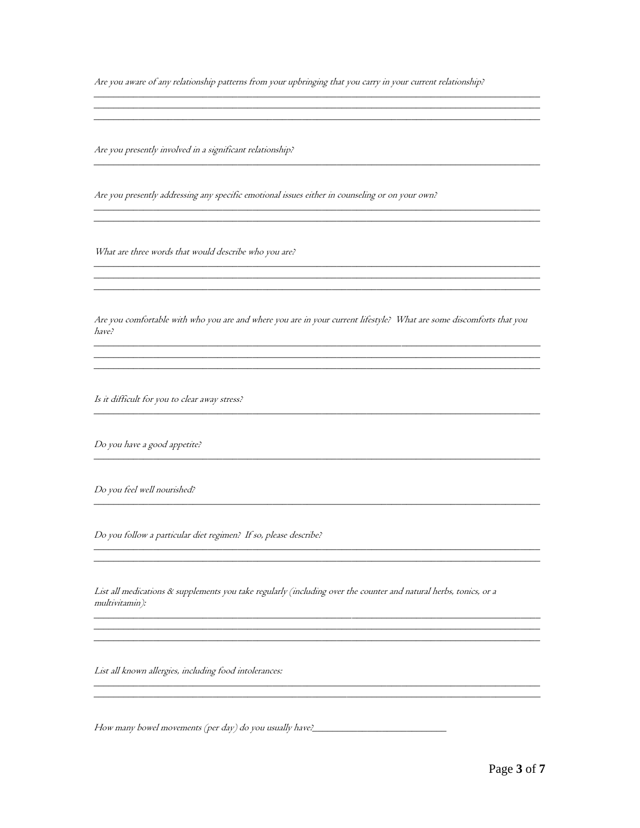Are you aware of any relationship patterns from your upbringing that you carry in your current relationship?

Are you presently involved in a significant relationship?

Are you presently addressing any specific emotional issues either in counseling or on your own?

What are three words that would describe who you are?

Are you comfortable with who you are and where you are in your current lifestyle? What are some discomforts that you have?

<u> 1989 - Johann Stoff, deutscher Stoffen und der Stoffen und der Stoffen und der Stoffen und der Stoffen und der</u>

Is it difficult for you to clear away stress?

Do you have a good appetite?

Do you feel well nourished?

Do you follow a particular diet regimen? If so, please describe?

List all medications & supplements you take regularly (including over the counter and natural herbs, tonics, or a multivitamin):

List all known allergies, including food intolerances:

How many bowel movements (per day) do you usually have?\_\_\_\_\_\_\_\_\_\_\_\_\_\_\_\_\_\_\_\_\_\_\_\_\_\_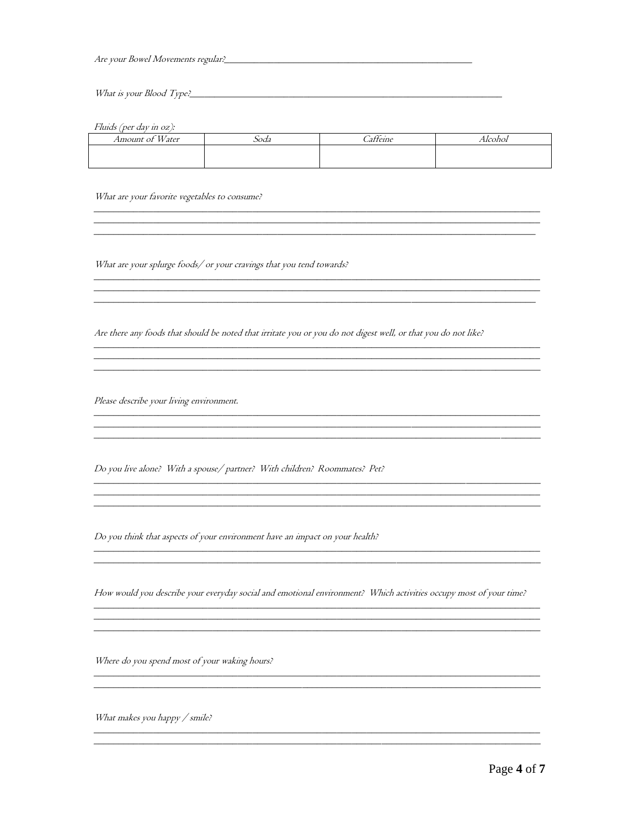Are your Bowel Movements regular?<br>
<u>Are your Bowel Movements regular?</u>

Fluids (per day in oz):

| T T T<br>Amount of<br>Water | $\sim$<br>Soda | $\sim\cdot$<br>-<br>atteine | Alcohol |
|-----------------------------|----------------|-----------------------------|---------|
|                             |                |                             |         |
|                             |                |                             |         |

<u> 1989 - Johann Stoff, deutscher Stoffen und der Stoffen und der Stoffen und der Stoffen und der Stoffen und der</u>

<u> 2002 - Jan Barnett, fransk politik (d. 1888)</u>

<u> 1989 - Johann Stoff, deutscher Stoffen und der Stoffen und der Stoffen und der Stoffen und der Stoffen und de</u>

What are your favorite vegetables to consume?

What are your splurge foods/ or your cravings that you tend towards?

Are there any foods that should be noted that irritate you or you do not digest well, or that you do not like?

Please describe your living environment.

Do you live alone? With a spouse/partner? With children? Roommates? Pet?

Do you think that aspects of your environment have an impact on your health?

<u> 1989 - Johann John Stone, mars et al. 1989 - John Stone, mars et al. 1989 - John Stone, mars et al. 1989 - John Stone</u>

How would you describe your everyday social and emotional environment? Which activities occupy most of your time?

Where do you spend most of your waking hours?

What makes you happy / smile?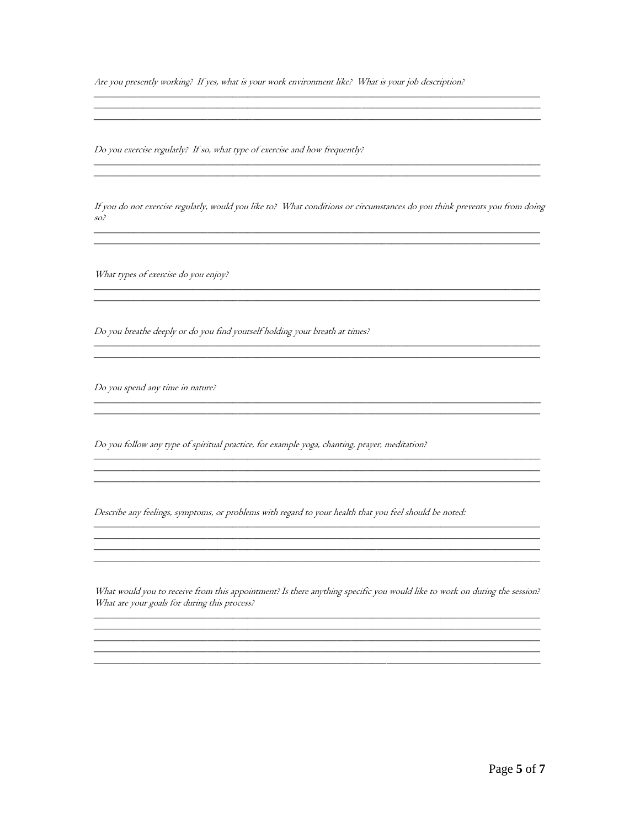Are you presently working? If yes, what is your work environment like? What is your job description?

Do you exercise regularly? If so, what type of exercise and how frequently?

<u> 2000 - Jan James James James James James James James James James James James James James James James James</u>

If you do not exercise regularly, would you like to? What conditions or circumstances do you think prevents you from doing  $so<sup>2</sup>$ 

<u> 1989 - Johann Stoff, amerikansk politiker (d. 1989)</u>

What types of exercise do you enjoy? 

Do you breathe deeply or do you find yourself holding your breath at times?

Do you spend any time in nature?

Do you follow any type of spiritual practice, for example yoga, chanting, prayer, meditation?

Describe any feelings, symptoms, or problems with regard to your health that you feel should be noted:

What would you to receive from this appointment? Is there anything specific you would like to work on during the session? What are your goals for during this process?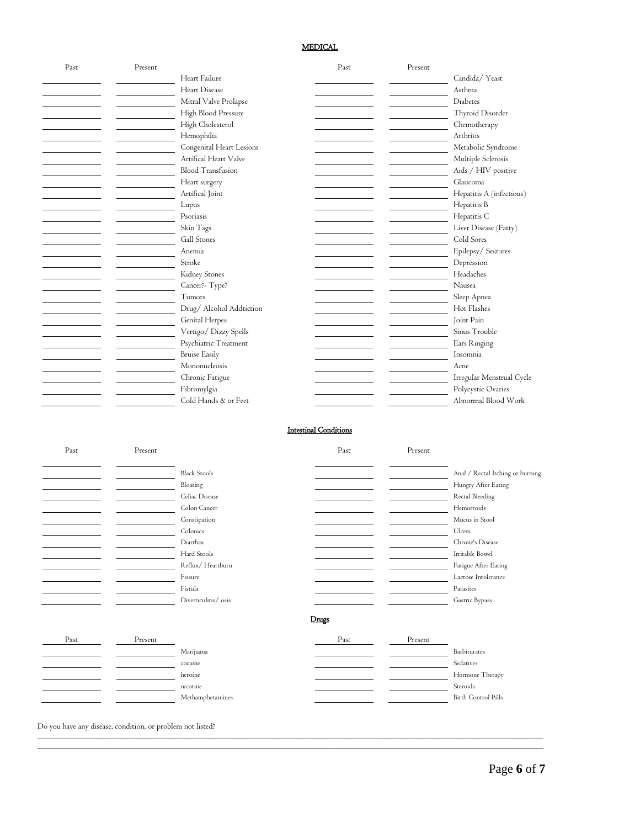## MEDICAL

| Past | Present |                          | Past                         | Present |                                  |
|------|---------|--------------------------|------------------------------|---------|----------------------------------|
|      |         | Heart Failure            |                              |         | Candida/Yeast                    |
|      |         | Heart Disease            |                              |         | Asthma                           |
|      |         | Mitral Valve Prolapse    |                              |         | Diabetes                         |
|      |         | High Blood Pressure      |                              |         | Thyroid Disorder                 |
|      |         | High Cholesterol         |                              |         | Chemotherapy                     |
|      |         | Hemophilia               |                              |         | Arthritis                        |
|      |         | Congenital Heart Lesions |                              |         | Metabolic Syndrome               |
|      |         | Artifical Heart Valve    |                              |         | Multiple Sclerosis               |
|      |         | <b>Blood Transfusion</b> |                              |         | Aids / HIV positive              |
|      |         |                          |                              |         |                                  |
|      |         | Heart surgery            |                              |         | Glaucoma                         |
|      |         | Artifical Joint          |                              |         | Hepatitis A (infectious)         |
|      |         | Lupus                    |                              |         | Hepatitis B                      |
|      |         | Psoriasis                |                              |         | Hepatitis C                      |
|      |         | Skin Tags                |                              |         | Liver Disease (Fatty)            |
|      |         | Gall Stones              |                              |         | Cold Sores                       |
|      |         | Anemia                   |                              |         | Epilepsy/Seizures                |
|      |         | Stroke                   |                              |         | Depression                       |
|      |         | Kidney Stones            |                              |         | Headaches                        |
|      |         | Cancer?- Type?           |                              |         | Nausea                           |
|      |         | Tumors                   |                              |         | Sleep Apnea                      |
|      |         | Drug/ Alcohol Addtiction |                              |         | Hot Flashes                      |
|      |         |                          |                              |         | Joint Pain                       |
|      |         | <b>Genital Herpes</b>    |                              |         |                                  |
|      |         | Vertigo/Dizzy Spells     |                              |         | Sinus Trouble                    |
|      |         | Psychiatric Treatment    |                              |         | Ears Ringing                     |
|      |         | <b>Bruise Easily</b>     |                              |         | Insomnia                         |
|      |         | Mononucleosis            |                              |         | Acne                             |
|      |         | Chronic Fatigue          |                              |         | Irregular Menstrual Cycle        |
|      |         | Fibromylgia              |                              |         | Polycystic Ovaries               |
|      |         | Cold Hands & or Feet     |                              |         | Abnormal Blood Work              |
|      |         |                          | <b>Intestinal Conditions</b> |         |                                  |
| Past | Present |                          | Past                         | Present |                                  |
|      |         | <b>Black Stools</b>      |                              |         | Anal / Rectal Itching or burning |
|      |         |                          |                              |         |                                  |
|      |         | Bloating                 |                              |         | Hungry After Eating              |
|      |         | Celiac Disease           |                              |         | Rectal Bleeding                  |
|      |         | Colon Cancer             |                              |         | Hemorroids                       |
|      |         | Constipation             |                              |         | Mucus in Stool                   |
|      |         | Colonics                 |                              |         | Ulcers                           |
|      |         | Diarrhea                 |                              |         | Chrone's Disease                 |
|      |         | Hard Stools              |                              |         | Irritable Bowel                  |
|      |         | Reflux/Heartburn         |                              |         | Fatigue After Eating             |
|      |         | Fissure                  |                              |         | Lactose Intolerance              |
|      |         | Fistula                  |                              |         | Parasites                        |
|      |         | Diverticulitis/ osis     |                              |         | Gastric Bypass                   |
|      |         |                          | Drugs                        |         |                                  |
| Past | Present |                          | Past                         | Present |                                  |
|      |         | Marijuana                |                              |         | Barbiturates                     |
|      |         | cocaine                  |                              |         | Sedatives                        |
|      |         |                          |                              |         |                                  |
|      |         | heroine                  |                              |         | Hormone Therapy                  |
|      |         | nicotine                 |                              |         | Steroids                         |
|      |         | Methamphetamines         |                              |         | Birth Control Pills              |

\_\_\_\_\_\_\_\_\_\_\_\_\_\_\_\_\_\_\_\_\_\_\_\_\_\_\_\_\_\_\_\_\_\_\_\_\_\_\_\_\_\_\_\_\_\_\_\_\_\_\_\_\_\_\_\_\_\_\_\_\_\_\_\_\_\_\_\_\_\_\_\_\_\_\_\_\_\_\_\_\_\_\_\_\_\_\_\_\_\_\_\_\_\_\_\_\_\_\_\_\_\_\_\_\_\_\_\_\_\_\_\_\_\_\_\_\_\_\_\_\_ \_\_\_\_\_\_\_\_\_\_\_\_\_\_\_\_\_\_\_\_\_\_\_\_\_\_\_\_\_\_\_\_\_\_\_\_\_\_\_\_\_\_\_\_\_\_\_\_\_\_\_\_\_\_\_\_\_\_\_\_\_\_\_\_\_\_\_\_\_\_\_\_\_\_\_\_\_\_\_\_\_\_\_\_\_\_\_\_\_\_\_\_\_\_\_\_\_\_\_\_\_\_\_\_\_\_\_\_\_\_\_\_\_\_\_\_\_\_\_\_\_

Do you have any disease, condition, or problem not listed?